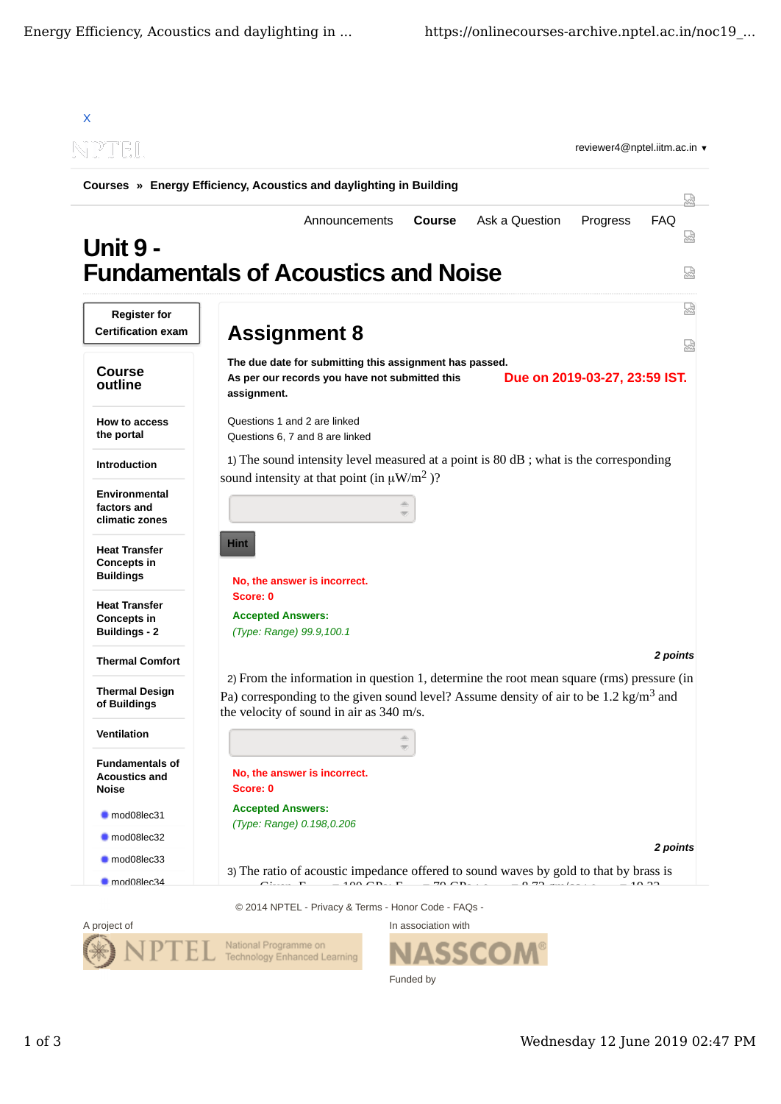



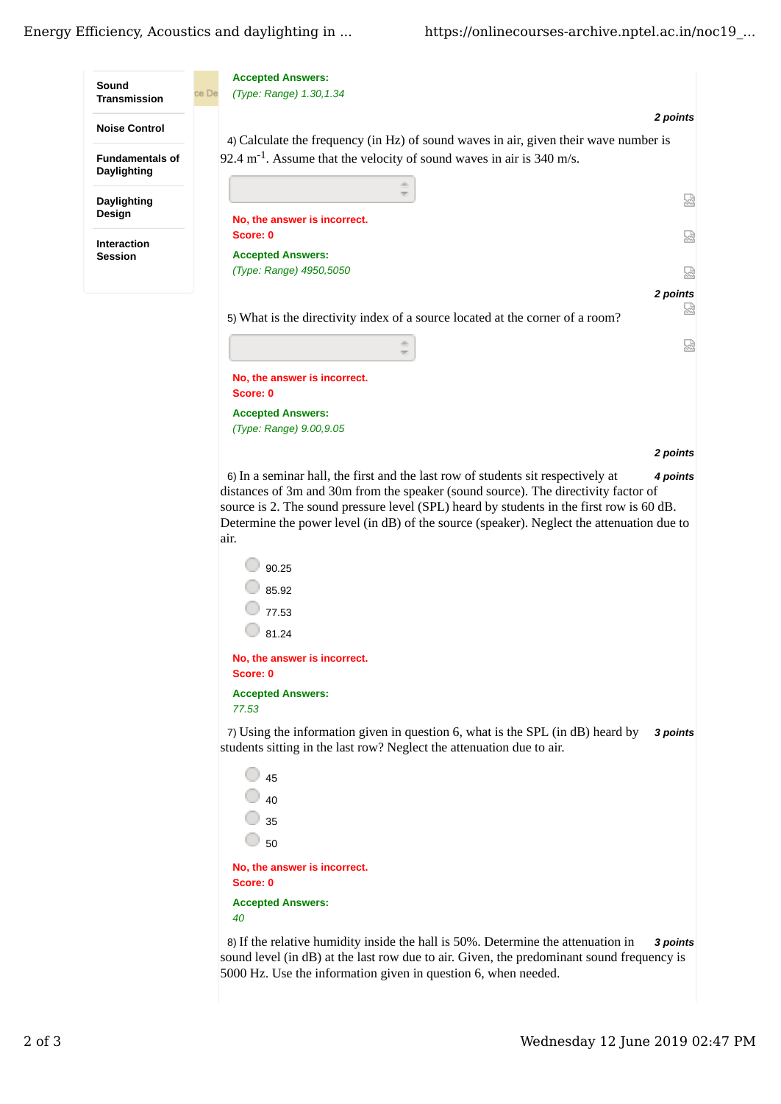

*2 points*

6) *4 points* In a seminar hall, the first and the last row of students sit respectively at distances of 3m and 30m from the speaker (sound source). The directivity factor of source is 2. The sound pressure level (SPL) heard by students in the first row is 60 dB. Determine the power level (in dB) of the source (speaker). Neglect the attenuation due to air.

| 90.25                                    |  |  |
|------------------------------------------|--|--|
| 85.92                                    |  |  |
| 77.53                                    |  |  |
| 81.24                                    |  |  |
| No, the answer is incorrect.<br>Score: 0 |  |  |
| <b>Accepted Answers:</b>                 |  |  |
| 77.53                                    |  |  |

**Accepted Answers:** *(Type: Range) 9.00,9.05*

7) *3 points* Using the information given in question 6, what is the SPL (in dB) heard by students sitting in the last row? Neglect the attenuation due to air.

| 45                                       |  |  |
|------------------------------------------|--|--|
| 40                                       |  |  |
| 35                                       |  |  |
| 50                                       |  |  |
| No, the answer is incorrect.<br>Score: 0 |  |  |
| <b>Accepted Answers:</b>                 |  |  |
|                                          |  |  |

8) *3 points* If the relative humidity inside the hall is 50%. Determine the attenuation in sound level (in dB) at the last row due to air. Given, the predominant sound frequency is 5000 Hz. Use the information given in question 6, when needed.